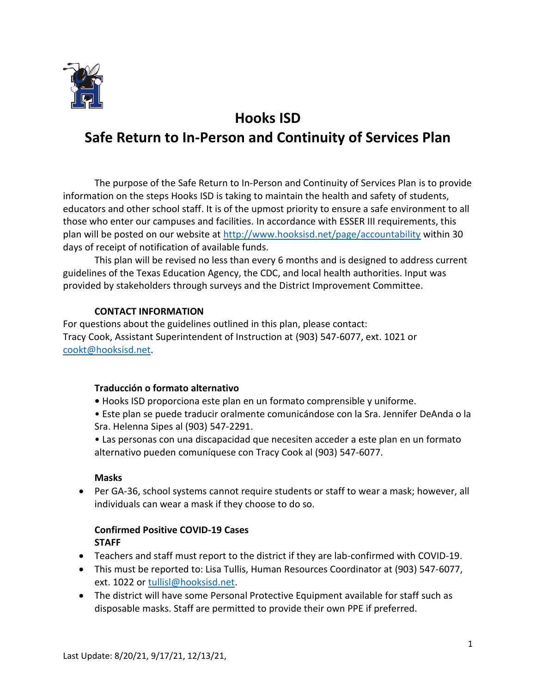

# **Hooks ISD Safe Return to In-Person and Continuity of Services Plan**

The purpose of the Safe Return to In-Person and Continuity of Services Plan is to provide information on the steps Hooks ISD is taking to maintain the health and safety of students, educators and other school staff. It is of the upmost priority to ensure a safe environment to all those who enter our campuses and facilities. In accordance with ESSER III requirements, this plan will be posted on our website at<http://www.hooksisd.net/page/accountability> within 30 days of receipt of notification of available funds.

This plan will be revised no less than every 6 months and is designed to address current guidelines of the Texas Education Agency, the CDC, and local health authorities. Input was provided by stakeholders through surveys and the District Improvement Committee.

### **CONTACT INFORMATION**

For questions about the guidelines outlined in this plan, please contact: Tracy Cook, Assistant Superintendent of Instruction at (903) 547-6077, ext. 1021 or [cookt@hooksisd.net.](mailto:cookt@hooksisd.net)

### **Traducción o formato alternativo**

- Hooks ISD proporciona este plan en un formato comprensible y uniforme.
- Este plan se puede traducir oralmente comunicándose con la Sra. Jennifer DeAnda o la Sra. Helenna Sipes al (903) 547-2291.
- Las personas con una discapacidad que necesiten acceder a este plan en un formato alternativo pueden comuníquese con Tracy Cook al (903) 547-6077.

### **Masks**

• Per GA-36, school systems cannot require students or staff to wear a mask; however, all individuals can wear a mask if they choose to do so.

## **Confirmed Positive COVID-19 Cases STAFF**

- Teachers and staff must report to the district if they are lab-confirmed with COVID-19.
- This must be reported to: Lisa Tullis, Human Resources Coordinator at (903) 547-6077, ext. 1022 or [tullisl@hooksisd.net.](mailto:tullisl@hooksisd.net)
- The district will have some Personal Protective Equipment available for staff such as disposable masks. Staff are permitted to provide their own PPE if preferred.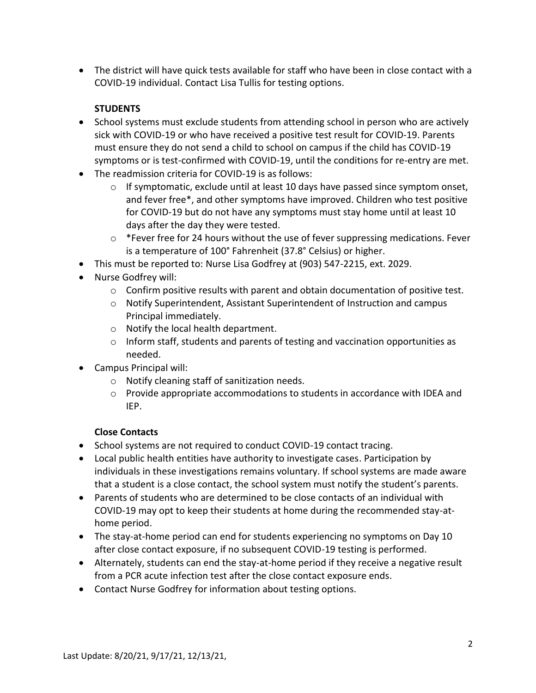• The district will have quick tests available for staff who have been in close contact with a COVID-19 individual. Contact Lisa Tullis for testing options.

# **STUDENTS**

- School systems must exclude students from attending school in person who are actively sick with COVID-19 or who have received a positive test result for COVID-19. Parents must ensure they do not send a child to school on campus if the child has COVID-19 symptoms or is test-confirmed with COVID-19, until the conditions for re-entry are met.
- The readmission criteria for COVID-19 is as follows:
	- $\circ$  If symptomatic, exclude until at least 10 days have passed since symptom onset, and fever free\*, and other symptoms have improved. Children who test positive for COVID-19 but do not have any symptoms must stay home until at least 10 days after the day they were tested.
	- o \*Fever free for 24 hours without the use of fever suppressing medications. Fever is a temperature of 100° Fahrenheit (37.8° Celsius) or higher.
- This must be reported to: Nurse Lisa Godfrey at (903) 547-2215, ext. 2029.
- Nurse Godfrey will:
	- $\circ$  Confirm positive results with parent and obtain documentation of positive test.
	- o Notify Superintendent, Assistant Superintendent of Instruction and campus Principal immediately.
	- o Notify the local health department.
	- o Inform staff, students and parents of testing and vaccination opportunities as needed.
- Campus Principal will:
	- o Notify cleaning staff of sanitization needs.
	- o Provide appropriate accommodations to students in accordance with IDEA and IEP.

## **Close Contacts**

- School systems are not required to conduct COVID-19 contact tracing.
- Local public health entities have authority to investigate cases. Participation by individuals in these investigations remains voluntary. If school systems are made aware that a student is a close contact, the school system must notify the student's parents.
- Parents of students who are determined to be close contacts of an individual with COVID-19 may opt to keep their students at home during the recommended stay-athome period.
- The stay-at-home period can end for students experiencing no symptoms on Day 10 after close contact exposure, if no subsequent COVID-19 testing is performed.
- Alternately, students can end the stay-at-home period if they receive a negative result from a PCR acute infection test after the close contact exposure ends.
- Contact Nurse Godfrey for information about testing options.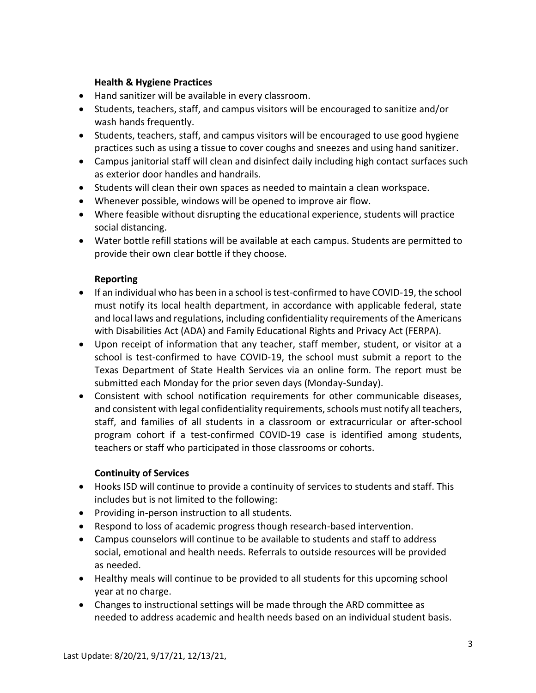### **Health & Hygiene Practices**

- Hand sanitizer will be available in every classroom.
- Students, teachers, staff, and campus visitors will be encouraged to sanitize and/or wash hands frequently.
- Students, teachers, staff, and campus visitors will be encouraged to use good hygiene practices such as using a tissue to cover coughs and sneezes and using hand sanitizer.
- Campus janitorial staff will clean and disinfect daily including high contact surfaces such as exterior door handles and handrails.
- Students will clean their own spaces as needed to maintain a clean workspace.
- Whenever possible, windows will be opened to improve air flow.
- Where feasible without disrupting the educational experience, students will practice social distancing.
- Water bottle refill stations will be available at each campus. Students are permitted to provide their own clear bottle if they choose.

#### **Reporting**

- If an individual who has been in a school is test-confirmed to have COVID-19, the school must notify its local health department, in accordance with applicable federal, state and local laws and regulations, including confidentiality requirements of the Americans with Disabilities Act (ADA) and Family Educational Rights and Privacy Act (FERPA).
- Upon receipt of information that any teacher, staff member, student, or visitor at a school is test-confirmed to have COVID-19, the school must submit a report to the Texas Department of State Health Services via an online form. The report must be submitted each Monday for the prior seven days (Monday-Sunday).
- Consistent with school notification requirements for other communicable diseases, and consistent with legal confidentiality requirements, schools must notify all teachers, staff, and families of all students in a classroom or extracurricular or after-school program cohort if a test-confirmed COVID-19 case is identified among students, teachers or staff who participated in those classrooms or cohorts.

#### **Continuity of Services**

- Hooks ISD will continue to provide a continuity of services to students and staff. This includes but is not limited to the following:
- Providing in-person instruction to all students.
- Respond to loss of academic progress though research-based intervention.
- Campus counselors will continue to be available to students and staff to address social, emotional and health needs. Referrals to outside resources will be provided as needed.
- Healthy meals will continue to be provided to all students for this upcoming school year at no charge.
- Changes to instructional settings will be made through the ARD committee as needed to address academic and health needs based on an individual student basis.